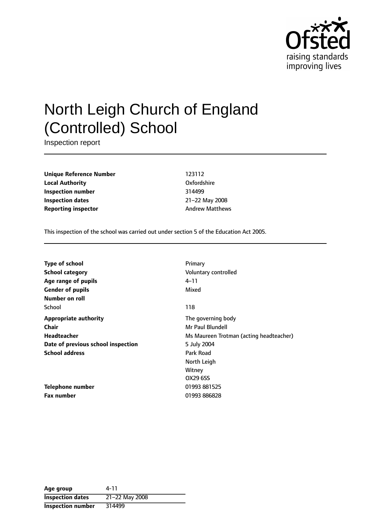

# North Leigh Church of England (Controlled) School

Inspection report

**Unique Reference Number** 123112 **Local Authority** Oxfordshire **Inspection number** 314499 **Inspection dates** 21-22 May 2008 **Reporting inspector** Andrew Matthews

This inspection of the school was carried out under section 5 of the Education Act 2005.

| <b>Type of school</b>              | Primary                                 |
|------------------------------------|-----------------------------------------|
| <b>School category</b>             | Voluntary controlled                    |
| Age range of pupils                | 4–11                                    |
| <b>Gender of pupils</b>            | Mixed                                   |
| Number on roll                     |                                         |
| School                             | 118                                     |
| <b>Appropriate authority</b>       | The governing body                      |
| <b>Chair</b>                       | Mr Paul Blundell                        |
| Headteacher                        | Ms Maureen Trotman (acting headteacher) |
| Date of previous school inspection | 5 July 2004                             |
| <b>School address</b>              | Park Road                               |
|                                    | North Leigh                             |
|                                    | Witney                                  |
|                                    | OX29 6SS                                |
| <b>Telephone number</b>            | 01993 881525                            |
| <b>Fax number</b>                  | 01993 886828                            |

| Age group                | 4-11           |
|--------------------------|----------------|
| <b>Inspection dates</b>  | 21-22 May 2008 |
| <b>Inspection number</b> | 314499         |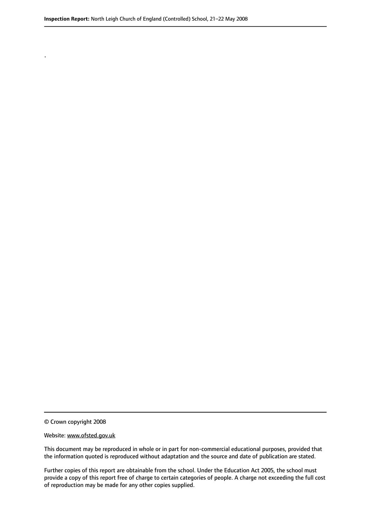© Crown copyright 2008

.

#### Website: www.ofsted.gov.uk

This document may be reproduced in whole or in part for non-commercial educational purposes, provided that the information quoted is reproduced without adaptation and the source and date of publication are stated.

Further copies of this report are obtainable from the school. Under the Education Act 2005, the school must provide a copy of this report free of charge to certain categories of people. A charge not exceeding the full cost of reproduction may be made for any other copies supplied.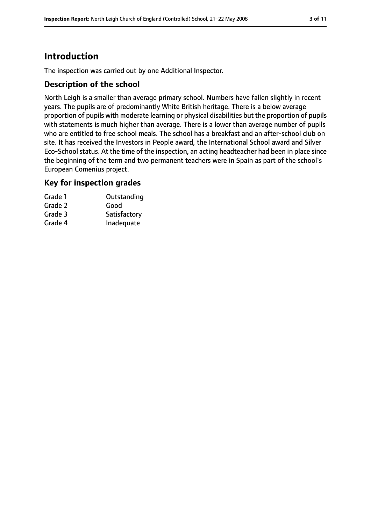# **Introduction**

The inspection was carried out by one Additional Inspector.

### **Description of the school**

North Leigh is a smaller than average primary school. Numbers have fallen slightly in recent years. The pupils are of predominantly White British heritage. There is a below average proportion of pupils with moderate learning or physical disabilities but the proportion of pupils with statements is much higher than average. There is a lower than average number of pupils who are entitled to free school meals. The school has a breakfast and an after-school club on site. It has received the Investors in People award, the International School award and Silver Eco-School status. At the time of the inspection, an acting headteacher had been in place since the beginning of the term and two permanent teachers were in Spain as part of the school's European Comenius project.

#### **Key for inspection grades**

| Outstanding  |
|--------------|
|              |
| Satisfactory |
| Inadequate   |
|              |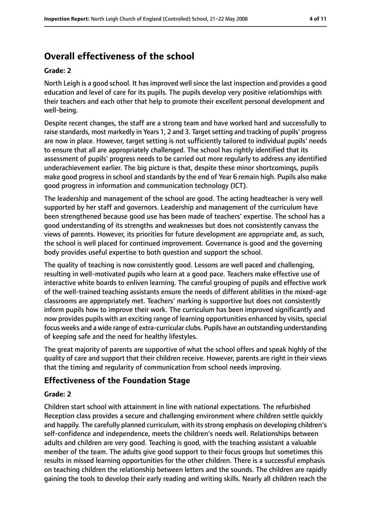# **Overall effectiveness of the school**

#### **Grade: 2**

North Leigh is a good school. It has improved well since the last inspection and provides a good education and level of care for its pupils. The pupils develop very positive relationships with their teachers and each other that help to promote their excellent personal development and well-being.

Despite recent changes, the staff are a strong team and have worked hard and successfully to raise standards, most markedly in Years 1, 2 and 3. Target setting and tracking of pupils' progress are now in place. However, target setting is not sufficiently tailored to individual pupils' needs to ensure that all are appropriately challenged. The school has rightly identified that its assessment of pupils' progress needs to be carried out more regularly to address any identified underachievement earlier. The big picture is that, despite these minor shortcomings, pupils make good progress in school and standards by the end of Year 6 remain high. Pupils also make good progress in information and communication technology (ICT).

The leadership and management of the school are good. The acting headteacher is very well supported by her staff and governors. Leadership and management of the curriculum have been strengthened because good use has been made of teachers' expertise. The school has a good understanding of its strengths and weaknesses but does not consistently canvass the views of parents. However, its priorities for future development are appropriate and, as such, the school is well placed for continued improvement. Governance is good and the governing body provides useful expertise to both question and support the school.

The quality of teaching is now consistently good. Lessons are well paced and challenging, resulting in well-motivated pupils who learn at a good pace. Teachers make effective use of interactive white boards to enliven learning. The careful grouping of pupils and effective work of the well-trained teaching assistants ensure the needs of different abilities in the mixed-age classrooms are appropriately met. Teachers' marking is supportive but does not consistently inform pupils how to improve their work. The curriculum has been improved significantly and now provides pupils with an exciting range of learning opportunities enhanced by visits, special focus weeks and a wide range of extra-curricular clubs. Pupils have an outstanding understanding of keeping safe and the need for healthy lifestyles.

The great majority of parents are supportive of what the school offers and speak highly of the quality of care and support that their children receive. However, parents are right in their views that the timing and regularity of communication from school needs improving.

# **Effectiveness of the Foundation Stage**

### **Grade: 2**

Children start school with attainment in line with national expectations. The refurbished Reception class provides a secure and challenging environment where children settle quickly and happily. The carefully planned curriculum, with its strong emphasis on developing children's self-confidence and independence, meets the children's needs well. Relationships between adults and children are very good. Teaching is good, with the teaching assistant a valuable member of the team. The adults give good support to their focus groups but sometimes this results in missed learning opportunities for the other children. There is a successful emphasis on teaching children the relationship between letters and the sounds. The children are rapidly gaining the tools to develop their early reading and writing skills. Nearly all children reach the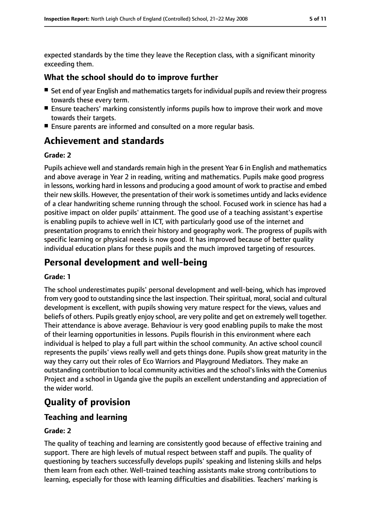expected standards by the time they leave the Reception class, with a significant minority exceeding them.

## **What the school should do to improve further**

- Set end of year English and mathematics targets for individual pupils and review their progress towards these every term.
- Ensure teachers' marking consistently informs pupils how to improve their work and move towards their targets.
- Ensure parents are informed and consulted on a more regular basis.

# **Achievement and standards**

#### **Grade: 2**

Pupils achieve well and standards remain high in the present Year 6 in English and mathematics and above average in Year 2 in reading, writing and mathematics. Pupils make good progress in lessons, working hard in lessons and producing a good amount of work to practise and embed their new skills. However, the presentation of their work is sometimes untidy and lacks evidence of a clear handwriting scheme running through the school. Focused work in science has had a positive impact on older pupils' attainment. The good use of a teaching assistant's expertise is enabling pupils to achieve well in ICT, with particularly good use of the internet and presentation programs to enrich their history and geography work. The progress of pupils with specific learning or physical needs is now good. It has improved because of better quality individual education plans for these pupils and the much improved targeting of resources.

# **Personal development and well-being**

#### **Grade: 1**

The school underestimates pupils' personal development and well-being, which has improved from very good to outstanding since the last inspection. Their spiritual, moral, social and cultural development is excellent, with pupils showing very mature respect for the views, values and beliefs of others. Pupils greatly enjoy school, are very polite and get on extremely well together. Their attendance is above average. Behaviour is very good enabling pupils to make the most of their learning opportunities in lessons. Pupils flourish in this environment where each individual is helped to play a full part within the school community. An active school council represents the pupils' views really well and gets things done. Pupils show great maturity in the way they carry out their roles of Eco Warriors and Playground Mediators. They make an outstanding contribution to local community activities and the school's links with the Comenius Project and a school in Uganda give the pupils an excellent understanding and appreciation of the wider world.

# **Quality of provision**

# **Teaching and learning**

### **Grade: 2**

The quality of teaching and learning are consistently good because of effective training and support. There are high levels of mutual respect between staff and pupils. The quality of questioning by teachers successfully develops pupils' speaking and listening skills and helps them learn from each other. Well-trained teaching assistants make strong contributions to learning, especially for those with learning difficulties and disabilities. Teachers' marking is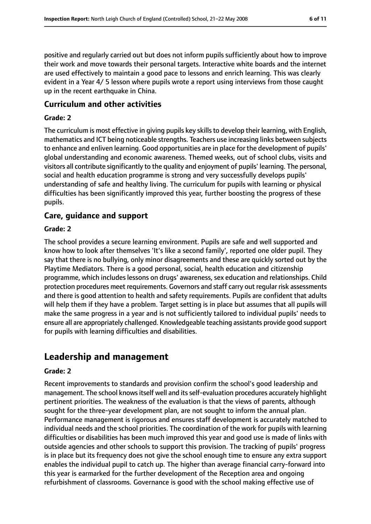positive and regularly carried out but does not inform pupils sufficiently about how to improve their work and move towards their personal targets. Interactive white boards and the internet are used effectively to maintain a good pace to lessons and enrich learning. This was clearly evident in a Year 4/ 5 lesson where pupils wrote a report using interviews from those caught up in the recent earthquake in China.

### **Curriculum and other activities**

#### **Grade: 2**

The curriculum is most effective in giving pupils key skills to develop their learning, with English, mathematics and ICT being noticeable strengths. Teachers use increasing links between subjects to enhance and enliven learning. Good opportunities are in place for the development of pupils' global understanding and economic awareness. Themed weeks, out of school clubs, visits and visitors all contribute significantly to the quality and enjoyment of pupils' learning. The personal, social and health education programme is strong and very successfully develops pupils' understanding of safe and healthy living. The curriculum for pupils with learning or physical difficulties has been significantly improved this year, further boosting the progress of these pupils.

### **Care, guidance and support**

#### **Grade: 2**

The school provides a secure learning environment. Pupils are safe and well supported and know how to look after themselves 'It's like a second family', reported one older pupil. They say that there is no bullying, only minor disagreements and these are quickly sorted out by the Playtime Mediators. There is a good personal, social, health education and citizenship programme, which includes lessons on drugs' awareness, sex education and relationships. Child protection procedures meet requirements. Governors and staff carry out regular risk assessments and there is good attention to health and safety requirements. Pupils are confident that adults will help them if they have a problem. Target setting is in place but assumes that all pupils will make the same progress in a year and is not sufficiently tailored to individual pupils' needs to ensure all are appropriately challenged. Knowledgeable teaching assistants provide good support for pupils with learning difficulties and disabilities.

# **Leadership and management**

#### **Grade: 2**

Recent improvements to standards and provision confirm the school's good leadership and management. The school knowsitself well and itsself-evaluation procedures accurately highlight pertinent priorities. The weakness of the evaluation is that the views of parents, although sought for the three-year development plan, are not sought to inform the annual plan. Performance management is rigorous and ensures staff development is accurately matched to individual needs and the school priorities. The coordination of the work for pupils with learning difficulties or disabilities has been much improved this year and good use is made of links with outside agencies and other schools to support this provision. The tracking of pupils' progress is in place but its frequency does not give the school enough time to ensure any extra support enables the individual pupil to catch up. The higher than average financial carry-forward into this year is earmarked for the further development of the Reception area and ongoing refurbishment of classrooms. Governance is good with the school making effective use of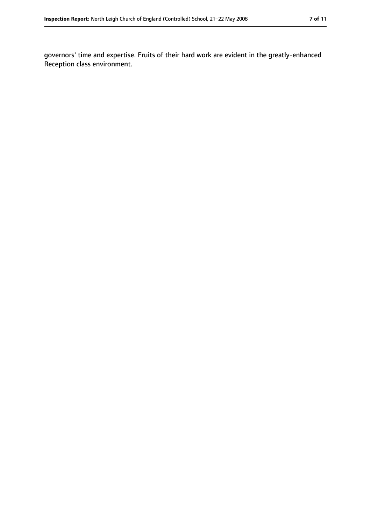governors' time and expertise. Fruits of their hard work are evident in the greatly-enhanced Reception class environment.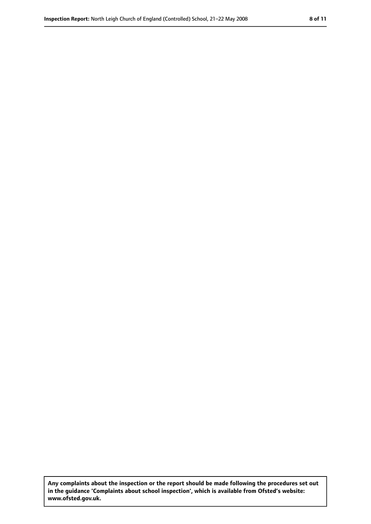**Any complaints about the inspection or the report should be made following the procedures set out in the guidance 'Complaints about school inspection', which is available from Ofsted's website: www.ofsted.gov.uk.**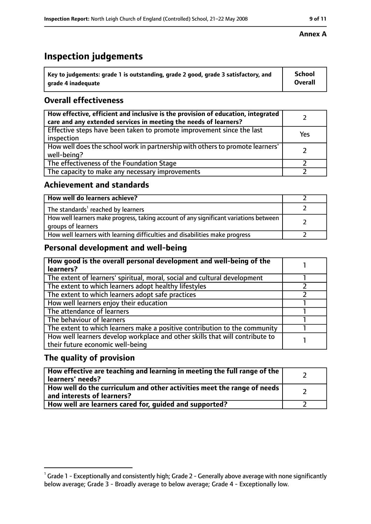# **Inspection judgements**

| $\degree$ Key to judgements: grade 1 is outstanding, grade 2 good, grade 3 satisfactory, and | School         |
|----------------------------------------------------------------------------------------------|----------------|
| arade 4 inadequate                                                                           | <b>Overall</b> |

# **Overall effectiveness**

| How effective, efficient and inclusive is the provision of education, integrated<br>care and any extended services in meeting the needs of learners? |     |
|------------------------------------------------------------------------------------------------------------------------------------------------------|-----|
| Effective steps have been taken to promote improvement since the last<br>inspection                                                                  | Yes |
| How well does the school work in partnership with others to promote learners'<br>well-being?                                                         |     |
| The effectiveness of the Foundation Stage                                                                                                            |     |
| The capacity to make any necessary improvements                                                                                                      |     |

### **Achievement and standards**

| How well do learners achieve?                                                                               |  |
|-------------------------------------------------------------------------------------------------------------|--|
| The standards <sup>1</sup> reached by learners                                                              |  |
| How well learners make progress, taking account of any significant variations between<br>groups of learners |  |
| How well learners with learning difficulties and disabilities make progress                                 |  |

# **Personal development and well-being**

| How good is the overall personal development and well-being of the<br>learners?                                  |  |
|------------------------------------------------------------------------------------------------------------------|--|
| The extent of learners' spiritual, moral, social and cultural development                                        |  |
| The extent to which learners adopt healthy lifestyles                                                            |  |
| The extent to which learners adopt safe practices                                                                |  |
| How well learners enjoy their education                                                                          |  |
| The attendance of learners                                                                                       |  |
| The behaviour of learners                                                                                        |  |
| The extent to which learners make a positive contribution to the community                                       |  |
| How well learners develop workplace and other skills that will contribute to<br>their future economic well-being |  |

## **The quality of provision**

| How effective are teaching and learning in meeting the full range of the<br>learners' needs?          |  |
|-------------------------------------------------------------------------------------------------------|--|
| How well do the curriculum and other activities meet the range of needs<br>and interests of learners? |  |
| How well are learners cared for, guided and supported?                                                |  |

#### **Annex A**

 $^1$  Grade 1 - Exceptionally and consistently high; Grade 2 - Generally above average with none significantly below average; Grade 3 - Broadly average to below average; Grade 4 - Exceptionally low.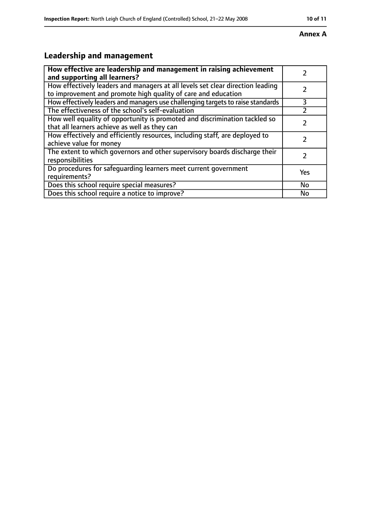#### **Annex A**

# **Leadership and management**

| How effective are leadership and management in raising achievement<br>and supporting all learners?                                              |     |
|-------------------------------------------------------------------------------------------------------------------------------------------------|-----|
| How effectively leaders and managers at all levels set clear direction leading<br>to improvement and promote high quality of care and education |     |
| How effectively leaders and managers use challenging targets to raise standards                                                                 | 3   |
| The effectiveness of the school's self-evaluation                                                                                               |     |
| How well equality of opportunity is promoted and discrimination tackled so<br>that all learners achieve as well as they can                     |     |
| How effectively and efficiently resources, including staff, are deployed to<br>achieve value for money                                          | フ   |
| The extent to which governors and other supervisory boards discharge their<br>responsibilities                                                  |     |
| Do procedures for safequarding learners meet current government<br>requirements?                                                                | Yes |
| Does this school require special measures?                                                                                                      | No  |
| Does this school require a notice to improve?                                                                                                   | No  |